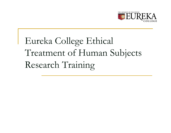

# Eureka College Ethical Treatment of Human Subjects Research Training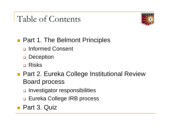# Table of Contents



**Part 1. The Belmont Principles** 

- □ Informed Consent
- □ Deception
- Risks
- **Part 2. Eureka College Institutional Review** Board process
	- □ Investigator responsibilities
	- □ Eureka College IRB process
- Part 3. Quiz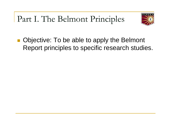Part I. The Belmont Principles



 $\frac{1}{2}$  Objective: To be able to apply the Belmont Report principles to specific research studies.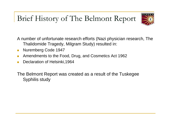### Brief History of The Belmont Report



A number of unfortunate research efforts (Nazi physician research, The Thalidomide Tragedy, Milgram Study) resulted in:

- $\left\vert \cdot \right\vert$ Nuremberg Code 1947
- $\mathcal{C}^{\mathcal{A}}$ Amendments to the Food, Drug, and Cosmetics Act 1962
- $\mathbb{R}^n$ Declaration of Helsinki,1964

The Belmont Report was created as a result of the Tuskegee Syphilis study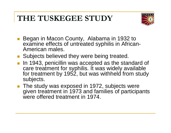### **THE TUSKEGEE STUDY**



- Began in Macon County, Alabama in 1932 to examine effects of untreated syphilis in African-American males.
- **Subjects believed they were being treated.**
- **IF In 1943, penicillin was accepted as the standard of** care treatment for syphilis. It was widely available for treatment by 1952, but was withheld from study subjects.
- The study was exposed in 1972, subjects were given treatment in 1973 and families of participants were offered treatment in 1974.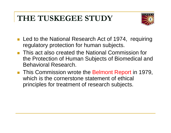### **THE TUSKEGEE STUDY**



- Led to the National Research Act of 1974, requiring regulatory protection for human subjects.
- **This act also created the National Commission for** the Protection of Human Subjects of Biomedical and Behavioral Research.
- **This Commission wrote the Belmont Report in 1979,** which is the cornerstone statement of ethical principles for treatment of research subjects.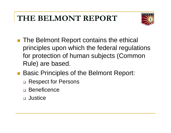### **THE BELMONT REPORT**



- The Belmont Report contains the ethical principles upon which the federal regulations for protection of human subjects (Common Rule) are based.
- Basic Principles of the Belmont Report:
	- □ Respect for Persons
	- □ Beneficence
	- □ Justice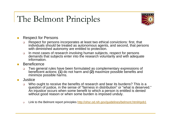### The Belmont Principles



- П Respect for Persons
	- $\Box$  Respect for persons incorporates at least two ethical convictions: first, that individuals should be treated as autonomous agents, and second, that persons with diminished autonomy are entitled to protection.
	- ❏ In most cases of research involving human subjects, respect for persons demands that subjects enter into the research voluntarily and with adequate information.
- **Beneficence** 
	- $\Box$  Two general rules have been formulated as complementary expressions of beneficent actions: **(1)** do not harm and **(2)** maximize possible benefits and minimize possible harms.
- $\mathbb{R}^n$  Justice
	- $\Box$  Who ought to receive the benefits of research and bear its burdens? This is a question of justice, in the sense of "fairness in distribution" or "what is deserved." An injustice occurs when some benefit to which a person is entitled is denied without good reason or when some burden is imposed unduly.
	- $\Box$ Link to the Belmont report principles http://ohsr.od.nih.gov/guidelines/belmont.html#gob1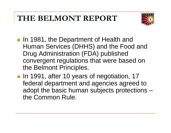### **THE BELMONT REPORT**



- **In 1981, the Department of Health and** Human Services (DHHS) and the Food and Drug Administration (FDA) published convergent regulations that were based on the Belmont Principles.
- **In 1991, after 10 years of negotiation, 17** federal department and agencies agreed to adopt the basic human subjects protections – the Common Rule.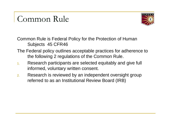### Common Rule



Common Rule is Federal Policy for the Protection of Human Subjects 45 CFR46

- The Federal policy outlines acceptable practices for adherence to the following 2 regulations of the Common Rule.
- 1. Research participants are selected equitably and give full informed, voluntary written consent.
- 2. Research is reviewed by an independent oversight group referred to as an Institutional Review Board (IRB)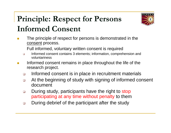# **Principle: Respect for Persons Informed Consent**



 The principle of respect for persons is demonstrated in the consent process.

Full informed, voluntary written consent is required

- $\Box$  Informed consent contains 3 elements; information, comprehension and voluntariness
- $\mathcal{C}^{\mathcal{A}}$  Informed consent remains in place throughout the life of the research project.
	- $\Box$ Informed consent is in place in recruitment materials
	- $\Box$  At the beginning of study with signing of informed consent document
	- $\Box$  During study, participants have the right to stop participating at any time without penalty to them
	- $\Box$ During debrief of the participant after the study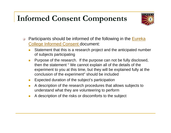### **Informed Consent Components**



- $\Box$ Participants should be informed of the following in the **Eureka** College Informed Consent document:
	- Π Statement that this is a research project and the anticipated number of subjects participating
	- $\Box$  Purpose of the research. If the purpose can not be fully disclosed, then the statement " We cannot explain all of the details of the experiment to you at this time, but they will be explained fully at the conclusion of the experiment" should be included
	- $\mathcal{L}_{\mathcal{A}}$ Expected duration of the subject's participation
	- $\mathbb{R}^n$  A description of the research procedures that allows subjects to understand what they are volunteering to perform
	- $\mathcal{C}^{\mathcal{A}}$ A description of the risks or discomforts to the subject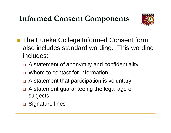### **Informed Consent Components**



- The Eureka College Informed Consent form also includes standard wording. This wording includes:
	- □ A statement of anonymity and confidentiality
	- Whom to contact for information
	- □ A statement that participation is voluntary
	- □ A statement guaranteeing the legal age of subjects
	- **□ Signature lines**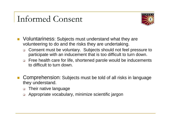# Informed Consent



- Voluntariness: Subjects must understand what they are volunteering to do and the risks they are undertaking.
	- $\Box$  Consent must be voluntary. Subjects should not feel pressure to participate with an inducement that is too difficult to turn down.
	- $\Box$  Free health care for life, shortened parole would be inducements to difficult to turn down.
- $\mathcal{C}^{\mathcal{A}}$  Comprehension: Subjects must be told of all risks in language they understand.
	- $\Box$ Their native language
	- $\Box$ Appropriate vocabulary, minimize scientific jargon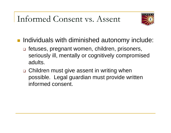## Informed Consent vs. Assent



- **Individuals with diminished autonomy include:** 
	- □ fetuses, pregnant women, children, prisoners, seriously ill, mentally or cognitively compromised adults.
	- □ Children must give assent in writing when possible. Legal guardian must provide written informed consent.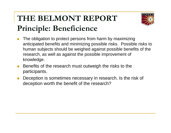### **THE BELMONT REPORT Principle: Beneficience**



- $\mathcal{C}^{\mathcal{A}}$  The obligation to protect persons from harm by maximizing anticipated benefits and minimizing possible risks. Possible risks to human subjects should be weighed against possible benefits of the research, as well as against the possible improvement of knowledge.
- $\mathcal{L}^{\text{max}}$  Benefits of the research must outweigh the risks to the participants.
- П Deception is sometimes necessary in research. Is the risk of deception worth the benefit of the research?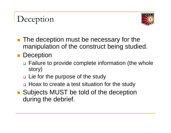# Deception



**The deception must be necessary for the** manipulation of the construct being studied.

#### **Deception**

- □ Failure to provide complete information (the whole story)
- Lie for the purpose of the study
- □ Hoax to create a test situation for the study
- Subjects MUST be told of the deception during the debrief.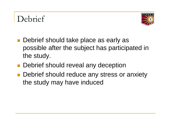# Debrief



- $\mathcal{L}^{\text{max}}_{\text{max}}$  Debrief should take place as early as possible after the subject has participated in the study.
- **Debrief should reveal any deception**
- **Debrief should reduce any stress or anxiety** the study may have induced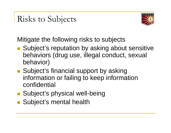# Risks to Subjects



Mitigate the following risks to subjects

- Subject's reputation by asking about sensitive behaviors (drug use, illegal conduct, sexual behavior)
- Subject's financial support by asking information or failing to keep information confidential
- **Subject's physical well-being**
- **Subject's mental health**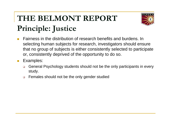# **THE BELMONT REPORT Principle: Justice**



- $\mathcal{C}^{\mathcal{A}}$  Fairness in the distribution of research benefits and burdens. In selecting human subjects for research, investigators should ensure that no group of subjects is either consistently selected to participate or, consistently deprived of the opportunity to do so.
- $\mathcal{L}^{\text{max}}_{\text{max}}$  Examples:
	- $\Box$  General Psychology students should not be the only participants in every study.
	- $\Box$ Females should not be the only gender studied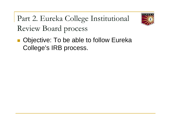Part 2. Eureka College Institutional Review Board process



 Objective: To be able to follow Eureka College's IRB process.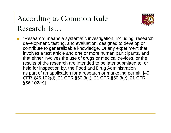### According to Common Rule Research Is…



■ "Research" means a systematic investigation, including research development, testing, and evaluation, designed to develop or contribute to generalizable knowledge. Or any experiment that involves a test article and one or more human participants, and that either involves the use of drugs or medical devices, or the results of the research are intended to be later submitted to, or held for inspection by, the Food and Drug Administration as part of an application for a research or marketing permit. [45 CFR §46.102(d); 21 CFR §50.3(k); 21 CFR §50.3(c); 21 CFR §56.102(c)]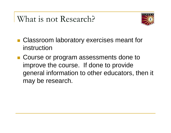### What is not Research?



- **Classroom laboratory exercises meant for** instruction
- Course or program assessments done to improve the course. If done to provide general information to other educators, then it may be research.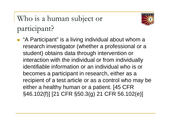Who is a human subject or participant?



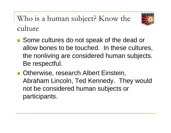Who is a human subject? Know the culture



- Some cultures do not speak of the dead or allow bones to be touched. In these cultures, the nonliving are considered human subjects. Be respectful.
- Otherwise, research Albert Einstein, Abraham Lincoln, Ted Kennedy. They would not be considered human subjects or participants.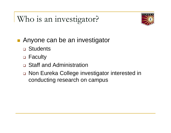Who is an investigator?



- **Anyone can be an investigator** 
	- □ Students
	- □ Faculty
	- □ Staff and Administration
	- □ Non Eureka College investigator interested in conducting research on campus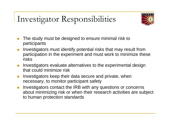# Investigator Responsibilities



- m. The study must be designed to ensure minimal risk to participants
- $\mathcal{L}_{\mathcal{A}}$  Investigators must identify potential risks that may result from participation in the experiment and must work to minimize these risks
- $\overline{\phantom{a}}$  Investigators evaluate alternatives to the experimental design that could minimize risk
- $\overline{\mathbb{R}}$  Investigators keep their data secure and private, when necessary, to monitor participant safety
- T. Investigators contact the IRB with any questions or concerns about minimizing risk or when their research activities are subject to human protection standards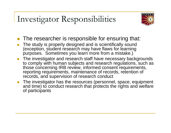# Investigator Responsibilities



- **The researcher is responsible for ensuring that:**
- П The study is properly designed and is scientifically sound (exception, student research may have flaws for learning purposes. Sometimes you learn more from a mistake.)
- П The investigator and research staff have necessary backgrounds to comply with human subjects and research regulations, such as those concerning IRB review, informed consent requirements, reporting requirements, maintenance of records, retention of records, and supervision of research conduct
- $\mathcal{L}^{\text{max}}_{\text{max}}$  The investigator has the resources (personnel, space, equipment and time) to conduct research that protects the rights and welfare of participants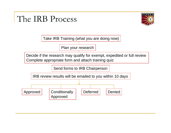### The IRB Process



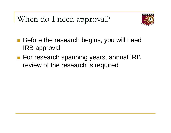When do I need approval?



- $\begin{bmatrix} 1 & 1 \\ 1 & 1 \end{bmatrix}$  Before the research begins, you will need IRB approval
- For research spanning years, annual IRB review of the research is required.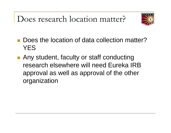Does research location matter?



- $\mathcal{L}^{\text{max}}$  Does the location of data collection matter? YES
- **Any student, faculty or staff conducting** research elsewhere will need Eureka IRB approval as well as approval of the other organization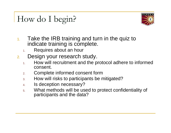# How do I begin?



- 1. Take the IRB training and turn in the quiz to indicate training is complete.
	- 1.Requires about an hour
- 2. Design your research study.
	- 1. How will recruitment and the protocol adhere to informed consent.
	- 2.Complete informed consent form
	- 3.How will risks to participants be mitigated?
	- 4.Is deception necessary?
	- 5. What methods will be used to protect confidentiality of participants and the data?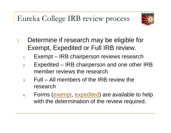Eureka College IRB review process



- 1. Determine if research may be eligible for Exempt, Expedited or Full IRB review.
	- 1.Exempt – IRB chairperson reviews research
	- 2. Expedited – IRB chairperson and one other IRB member reviews the research
	- 3. Full All members of the IRB review the research
	- 4. Forms (exempt, expedited) are available to help with the determination of the review required.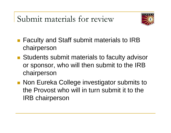Submit materials for review



- Faculty and Staff submit materials to IRB chairperson
- Students submit materials to faculty advisor or sponsor, who will then submit to the IRB chairperson
- **Non Eureka College investigator submits to** the Provost who will in turn submit it to the IRB chairperson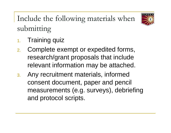Include the following materials when submitting



- 1.Training quiz
- 2. Complete exempt or expedited forms, research/grant proposals that include relevant information may be attached.
- 3. Any recruitment materials, informed consent document, paper and pencil measurements (e.g. surveys), debriefing and protocol scripts.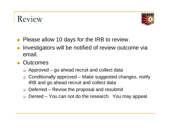# Review



- **Please allow 10 days for the IRB to review.**
- Investigators will be notified of review outcome via email.
- $\mathcal{L}^{\text{max}}_{\text{max}}$ **Outcomes** 
	- □ Approved go ahead recruit and collect data
	- $\Box$  Conditionally approved – Make suggested changes, notify IRB and go ahead recruit and collect data
	- $\Box$ Deferred – Revise the proposal and resubmit
	- $\Box$ Denied – You can not do the research. You may appeal.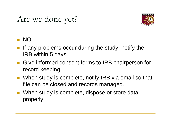# Are we done yet?



#### NO

- If any problems occur during the study, notify the IRB within 5 days.
- Give informed consent forms to IRB chairperson for record keeping
- When study is complete, notify IRB via email so that file can be closed and records managed.
- When study is complete, dispose or store data properly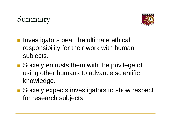### Summary



- Investigators bear the ultimate ethical responsibility for their work with human subjects.
- Society entrusts them with the privilege of using other humans to advance scientific knowledge.
- Society expects investigators to show respect for research subjects.